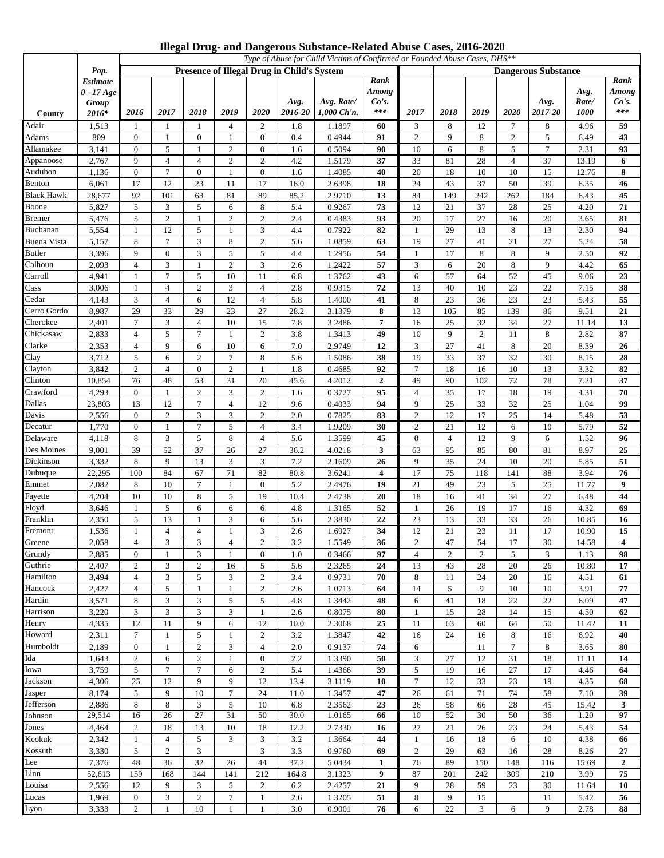|  | Illegal Drug- and Dangerous Substance-Related Abuse Cases, 2016-2020 |  |  |
|--|----------------------------------------------------------------------|--|--|
|  |                                                                      |  |  |

|                       |                                                          | Type of Abuse for Child Victims of Confirmed or Founded Abuse Cases, DHS** |                      |                     |                                            |                                  |                 |                           |                                          |                      |                |           |                |                            |                              |                                 |  |
|-----------------------|----------------------------------------------------------|----------------------------------------------------------------------------|----------------------|---------------------|--------------------------------------------|----------------------------------|-----------------|---------------------------|------------------------------------------|----------------------|----------------|-----------|----------------|----------------------------|------------------------------|---------------------------------|--|
| Pop.                  |                                                          |                                                                            |                      |                     | Presence of Illegal Drug in Child's System |                                  |                 |                           |                                          |                      |                |           |                | <b>Dangerous Substance</b> |                              |                                 |  |
| County                | <i><b>Estimate</b></i><br>$0 - 17 Age$<br>Group<br>2016* | 2016                                                                       | 2017                 | 2018                | 2019                                       | 2020                             | Avg.<br>2016-20 | Avg. Rate/<br>1,000 Ch'n. | Rank<br>Among<br>Co's.<br>$\ast\ast\ast$ | 2017                 | 2018           | 2019      | 2020           | Avg.<br>2017-20            | Avg.<br>Rate/<br><i>1000</i> | Rank<br>Among<br>Co's.<br>$***$ |  |
| Adair                 | 1,513                                                    | -1                                                                         | -1                   | -1                  | 4                                          | 2                                | 1.8             | 1.1897                    | 60                                       | 3                    | 8              | 12        | $\tau$         | 8                          | 4.96                         | 59                              |  |
| Adams                 | 809                                                      | $\theta$                                                                   | -1                   | $\bf{0}$            | -1                                         | 0                                | 0.4             | 0.4944                    | 91                                       | 2                    | 9              | 8         | 2              | 5                          | 6.49                         | 43                              |  |
| Allamakee             | 3,141                                                    | $\theta$                                                                   | 5                    | -1                  | $\overline{c}$                             | $\overline{0}$                   | 1.6             | 0.5094                    | 90                                       | 10                   | 6              | 8         | 5              | 7                          | 2.31                         | 93                              |  |
| Appanoose             | 2,767                                                    | 9                                                                          | $\overline{4}$       | $\overline{4}$      | 2                                          | $\overline{c}$                   | 4.2             | 1.5179                    | 37                                       | 33                   | 81             | 28        | $\overline{4}$ | 37                         | 13.19                        | 6                               |  |
| Audubon               | 1,136                                                    | $\boldsymbol{0}$                                                           | $\overline{7}$       | $\overline{0}$      | 1                                          | $\mathbf{0}$                     | 1.6             | 1.4085                    | 40                                       | 20                   | 18             | 10        | 10             | 15                         | 12.76                        | 8                               |  |
| Benton                | 6,061                                                    | 17                                                                         | 12                   | 23                  | 11                                         | 17                               | 16.0            | 2.6398                    | 18                                       | 24                   | 43             | 37        | 50             | 39                         | 6.35                         | 46                              |  |
| Black Hawk            | 28,677                                                   | 92                                                                         | 101                  | 63                  | 81                                         | 89                               | 85.2            | 2.9710                    | 13                                       | 84                   | 149            | 242       | 262            | 184                        | 6.43                         | 45                              |  |
| Boone                 | 5,827                                                    | 5                                                                          | 3                    | 5                   | 6                                          | 8                                | 5.4             | 0.9267                    | 73                                       | 12                   | 21             | 37        | 28             | 25                         | 4.20                         | 71                              |  |
| <b>Bremer</b>         | 5,476                                                    | 5                                                                          | $\overline{2}$       | $\mathbf{1}$        | $\overline{c}$                             | $\overline{c}$                   | 2.4             | 0.4383                    | 93                                       | 20                   | 17             | 27        | 16             | 20                         | 3.65                         | 81                              |  |
| Buchanan              | 5,554                                                    | 1                                                                          | 12                   | 5                   | -1                                         | 3                                | 4.4             | 0.7922                    | 82                                       | $\mathbf{1}$         | 29             | 13        | 8              | 13                         | 2.30                         | 94                              |  |
| Buena Vista<br>Butler | 5,157                                                    | 8<br>9                                                                     | 7<br>$\mathbf{0}$    | 3<br>3              | 8<br>5                                     | 2<br>5                           | 5.6             | 1.0859                    | 63<br>54                                 | 19<br>-1             | 27<br>17       | 41<br>8   | 21<br>8        | 27<br>9                    | 5.24                         | 58                              |  |
| Calhoun               | 3,396<br>2,093                                           | 4                                                                          | 3                    | $\mathbf{1}$        | $\overline{2}$                             | 3                                | 4.4<br>2.6      | 1.2956<br>1.2422          | 57                                       | 3                    | 6              | 20        | 8              | 9                          | 2.50<br>4.42                 | 92<br>65                        |  |
| Carroll               | 4,941                                                    | -1                                                                         | $\overline{7}$       | 5                   | 10                                         | 11                               | 6.8             | 1.3762                    | 43                                       | 6                    | 57             | 64        | 52             | 45                         | 9.06                         | 23                              |  |
| Cass                  | 3,006                                                    | $\mathbf{1}$                                                               | $\overline{4}$       | $\overline{c}$      | 3                                          | $\overline{4}$                   | 2.8             | 0.9315                    | 72                                       | 13                   | 40             | 10        | 23             | 22                         | 7.15                         | 38                              |  |
| Cedar                 | 4,143                                                    | 3                                                                          | $\overline{4}$       | 6                   | 12                                         | 4                                | 5.8             | 1.4000                    | 41                                       | 8                    | 23             | 36        | 23             | 23                         | 5.43                         | 55                              |  |
| Cerro Gordo           | 8,987                                                    | 29                                                                         | 33                   | 29                  | 23                                         | 27                               | 28.2            | 3.1379                    | 8                                        | 13                   | 105            | 85        | 139            | 86                         | 9.51                         | 21                              |  |
| Cherokee              | 2,401                                                    | $7\phantom{.0}$                                                            | 3                    | $\overline{4}$      | 10                                         | 15                               | 7.8             | 3.2486                    | 7                                        | 16                   | 25             | 32        | 34             | 27                         | 11.14                        | 13                              |  |
| Chickasaw             | 2,833                                                    | 4                                                                          | 5                    | 7                   | -1                                         | $\overline{c}$                   | 3.8             | 1.3413                    | 49                                       | 10                   | 9              | 2         | 11             | 8                          | 2.82                         | 87                              |  |
| Clarke                | 2,353                                                    | 4                                                                          | 9                    | 6                   | 10                                         | 6                                | 7.0             | 2.9749                    | 12                                       | 3                    | 27             | 41        | 8              | 20                         | 8.39                         | 26                              |  |
| Clay                  | 3,712                                                    | 5                                                                          | 6                    | 2                   | 7                                          | 8                                | 5.6             | 1.5086                    | 38                                       | 19                   | 33             | 37        | 32             | 30                         | 8.15                         | 28                              |  |
| Clayton               | 3,842                                                    | $\overline{2}$                                                             | $\overline{4}$       | $\mathbf{0}$        | $\overline{2}$                             | $\mathbf{1}$                     | 1.8             | 0.4685                    | 92                                       | $\overline{7}$       | 18             | 16        | 10             | 13                         | 3.32                         | 82                              |  |
| Clinton               | 10,854                                                   | 76                                                                         | 48                   | 53                  | 31                                         | 20                               | 45.6            | 4.2012                    | $\mathbf{2}$                             | 49                   | 90             | 102       | 72             | 78                         | 7.21                         | 37                              |  |
| Crawford              | 4,293                                                    | $\overline{0}$                                                             | 1                    | 2                   | 3                                          | $\overline{c}$                   | 1.6             | 0.3727                    | 95                                       | $\overline{4}$       | 35             | 17        | 18             | 19                         | 4.31                         | 70                              |  |
| Dallas                | 23,803                                                   | 13                                                                         | 12                   | 7                   | $\overline{4}$                             | 12                               | 9.6             | 0.4033                    | 94                                       | 9                    | 25             | 33        | 32             | 25                         | 1.04                         | 99                              |  |
| Davis                 | 2,556<br>1,770                                           | $\theta$<br>$\overline{0}$                                                 | 2<br>1               | 3<br>$\overline{7}$ | 3<br>5                                     | $\overline{c}$<br>$\overline{4}$ | 2.0<br>3.4      | 0.7825                    | 83<br>30                                 | $\overline{2}$<br>2  | 12<br>21       | 17<br>12  | 25             | 14<br>10                   | 5.48<br>5.79                 | 53<br>52                        |  |
| Decatur<br>Delaware   | 4,118                                                    | 8                                                                          | 3                    | 5                   | 8                                          | $\overline{4}$                   | 5.6             | 1.9209<br>1.3599          | 45                                       | $\boldsymbol{0}$     | $\overline{4}$ | 12        | 6<br>9         | 6                          | 1.52                         | 96                              |  |
| Des Moines            | 9,001                                                    | 39                                                                         | 52                   | 37                  | 26                                         | 27                               | 36.2            | 4.0218                    | 3                                        | 63                   | 95             | 85        | 80             | 81                         | 8.97                         | 25                              |  |
| Dickinson             | 3,332                                                    | 8                                                                          | 9                    | 13                  | 3                                          | 3                                | 7.2             | 2.1609                    | 26                                       | 9                    | 35             | 24        | 10             | 20                         | 5.85                         | 51                              |  |
| Dubuque               | 22,295                                                   | 100                                                                        | 84                   | 67                  | 71                                         | 82                               | 80.8            | 3.6241                    | 4                                        | 17                   | 75             | 118       | 141            | 88                         | 3.94                         | 76                              |  |
| Emmet                 | 2,082                                                    | 8                                                                          | 10                   | $\tau$              | -1                                         | $\boldsymbol{0}$                 | 5.2             | 2.4976                    | 19                                       | 21                   | 49             | 23        | 5              | 25                         | 11.77                        | $\boldsymbol{9}$                |  |
| Fayette               | 4,204                                                    | 10                                                                         | 10                   | 8                   | 5                                          | 19                               | 10.4            | 2.4738                    | 20                                       | 18                   | 16             | 41        | 34             | 27                         | 6.48                         | 44                              |  |
| Floyd                 | 3,646                                                    | 1                                                                          | 5                    | 6                   | 6                                          | 6                                | 4.8             | 1.3165                    | 52                                       | -1                   | 26             | 19        | 17             | 16                         | 4.32                         | 69                              |  |
| Franklin              | 2,350                                                    | 5                                                                          | 13                   | -1                  | 3                                          | 6                                | 5.6             | 2.3830                    | 22                                       | 23                   | 13             | 33        | 33             | 26                         | 10.85                        | 16                              |  |
| Fremont               | 1,536                                                    | $\mathbf{1}$                                                               | $\overline{4}$       | $\overline{4}$      | 1                                          | 3                                | 2.6             | 1.6927                    | 34                                       | 12                   | 21             | 23        | 11             | 17                         | 10.90                        | 15                              |  |
| Greene                | 2,058                                                    | 4                                                                          | 3                    | 3                   | 4                                          | 2                                | 3.2             | 1.5549                    | 36                                       | 2                    | 47             | 54        | 17             | 30                         | 14.58                        | 4                               |  |
| Grundy                | 2,885                                                    | $\overline{0}$                                                             | 1                    | 3                   | $\mathbf{1}$                               | $\overline{0}$                   | 1.0             | 0.3466                    | 97                                       | $\overline{4}$       | $\overline{c}$ | 2         | 5              | 3                          | 1.13                         | 98                              |  |
| Guthrie               | 2,407                                                    | $\overline{c}$                                                             | 3                    | 2                   | 16                                         | 5                                | 5.6             | 2.3265                    | 24                                       | 13                   | 43             | 28        | 20             | 26                         | 10.80                        | 17                              |  |
| Hamilton<br>Hancock   | 3,494<br>2,427                                           | $\overline{4}$<br>$\overline{4}$                                           | 3<br>5               | 5<br>$\mathbf{1}$   | 3<br>$\mathbf{1}$                          | $\overline{c}$<br>$\overline{c}$ | 3.4<br>2.6      | 0.9731<br>1.0713          | 70<br>64                                 | 8<br>14              | 11<br>5        | 24<br>9   | 20<br>10       | 16<br>10                   | 4.51<br>3.91                 | 61<br>77                        |  |
| Hardin                | 3,571                                                    | 8                                                                          | 3                    | 3                   | 5                                          | 5                                | 4.8             | 1.3442                    | 48                                       | 6                    | 41             | 18        | 22             | 22                         | 6.09                         | 47                              |  |
| Harrison              | 3,220                                                    | 3                                                                          | 3                    | 3                   | 3                                          | 1                                | 2.6             | 0.8075                    | 80                                       | 1                    | 15             | 28        | 14             | 15                         | 4.50                         | 62                              |  |
| Henry                 | 4,335                                                    | 12                                                                         | 11                   | 9                   | 6                                          | 12                               | 10.0            | 2.3068                    | 25                                       | 11                   | 63             | 60        | 64             | 50                         | 11.42                        | 11                              |  |
| Howard                | 2,311                                                    | $\tau$                                                                     | $\mathbf{1}$         | 5                   | 1                                          | 2                                | 3.2             | 1.3847                    | 42                                       | 16                   | 24             | 16        | 8              | 16                         | 6.92                         | 40                              |  |
| Humboldt              | 2,189                                                    | $\mathbf{0}$                                                               | $\mathbf{1}$         | 2                   | 3                                          | $\overline{4}$                   | 2.0             | 0.9137                    | 74                                       | 6                    |                | 11        | $\tau$         | 8                          | 3.65                         | 80                              |  |
| Ida                   | 1,643                                                    | $\overline{c}$                                                             | 6                    | $\mathfrak{2}$      | $\mathbf{1}$                               | $\overline{0}$                   | 2.2             | 1.3390                    | 50                                       | 3                    | 27             | 12        | 31             | 18                         | 11.11                        | 14                              |  |
| lowa                  | 3,759                                                    | 5                                                                          | $\tau$               | $\tau$              | 6                                          | $\overline{c}$                   | 5.4             | 1.4366                    | 39                                       | 5                    | 19             | 16        | 27             | 17                         | 4.46                         | 64                              |  |
| Jackson               | 4,306                                                    | 25                                                                         | 12                   | 9                   | 9                                          | 12                               | 13.4            | 3.1119                    | 10                                       | $\tau$               | 12             | 33        | 23             | 19                         | 4.35                         | 68                              |  |
| Jasper                | 8,174                                                    | 5                                                                          | 9                    | 10                  | $\tau$                                     | 24                               | 11.0            | 1.3457                    | 47                                       | 26                   | 61             | 71        | 74             | 58                         | 7.10                         | 39                              |  |
| Jefferson             | 2,886                                                    | 8                                                                          | 8                    | 3                   | 5                                          | 10                               | 6.8             | 2.3562                    | 23                                       | 26                   | 58             | 66        | 28             | 45                         | 15.42                        | 3                               |  |
| Johnson               | 29,514                                                   | 16                                                                         | 26                   | 27                  | 31                                         | 50                               | 30.0            | 1.0165                    | 66                                       | 10                   | 52             | 30        | 50             | 36                         | 1.20                         | 97                              |  |
| Jones                 | 4,464                                                    | 2                                                                          | 18                   | 13                  | 10                                         | 18                               | 12.2            | 2.7330                    | 16                                       | 27                   | 21             | 26        | 23             | 24                         | 5.43                         | 54                              |  |
| Keokuk<br>Kossuth     | 2,342                                                    | $\mathbf{1}$                                                               | $\overline{4}$       | 5                   | 3                                          | 3                                | 3.2<br>3.3      | 1.3664                    | 44                                       | $\mathbf{1}$         | 16<br>29       | 18        | 6              | 10<br>28                   | 4.38                         | 66                              |  |
| Lee                   | 3,330<br>7,376                                           | 5<br>48                                                                    | $\overline{2}$<br>36 | 3<br>32             | 26                                         | 3<br>44                          | 37.2            | 0.9760<br>5.0434          | 69<br>$\mathbf{1}$                       | $\overline{2}$<br>76 | 89             | 63<br>150 | 16<br>148      | 116                        | 8.26<br>15.69                | 27<br>$\boldsymbol{2}$          |  |
| Linn                  | 52,613                                                   | 159                                                                        | 168                  | 144                 | 141                                        | 212                              | 164.8           | 3.1323                    | 9                                        | 87                   | 201            | 242       | 309            | 210                        | 3.99                         | 75                              |  |
| Louisa                | 2,556                                                    | 12                                                                         | 9                    | 3                   | 5                                          | $\overline{c}$                   | 6.2             | 2.4257                    | 21                                       | 9                    | 28             | 59        | 23             | 30                         | 11.64                        | 10                              |  |
| Lucas                 | 1,969                                                    | $\boldsymbol{0}$                                                           | 3                    | 2                   | $\tau$                                     | $\mathbf{1}$                     | 2.6             | 1.3205                    | 51                                       | 8                    | 9              | 15        |                | 11                         | 5.42                         | 56                              |  |
| Lyon                  | 3,333                                                    | 2                                                                          | 1                    | 10                  | $\mathbf{1}$                               | $\mathbf{1}$                     | 3.0             | 0.9001                    | 76                                       | 6                    | 22             | 3         | 6              | 9                          | 2.78                         | 88                              |  |
|                       |                                                          |                                                                            |                      |                     |                                            |                                  |                 |                           |                                          |                      |                |           |                |                            |                              |                                 |  |